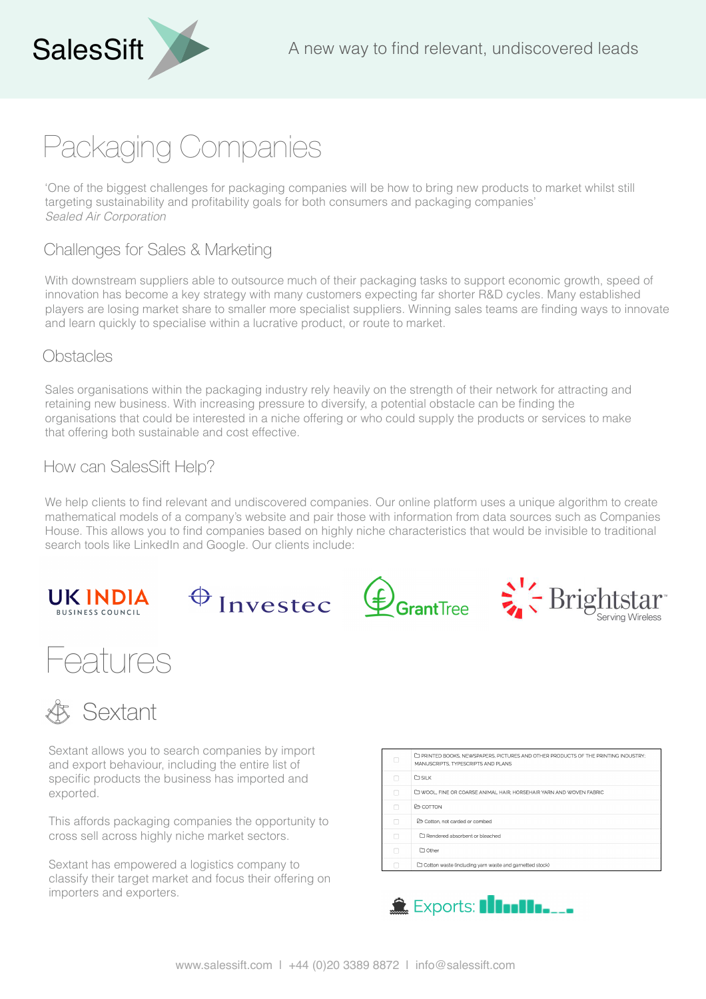# Packaging Companies

'One of the biggest challenges for packaging companies will be how to bring new products to market whilst still targeting sustainability and profitability goals for both consumers and packaging companies' *Sealed Air Corporation*

## Challenges for Sales & Marketing

With downstream suppliers able to outsource much of their packaging tasks to support economic growth, speed of innovation has become a key strategy with many customers expecting far shorter R&D cycles. Many established players are losing market share to smaller more specialist suppliers. Winning sales teams are finding ways to innovate and learn quickly to specialise within a lucrative product, or route to market.

#### **Obstacles**

Sales organisations within the packaging industry rely heavily on the strength of their network for attracting and retaining new business. With increasing pressure to diversify, a potential obstacle can be finding the organisations that could be interested in a niche offering or who could supply the products or services to make that offering both sustainable and cost effective.

## How can SalesSift Help?

We help clients to find relevant and undiscovered companies. Our online platform uses a unique algorithm to create mathematical models of a company's website and pair those with information from data sources such as Companies House. This allows you to find companies based on highly niche characteristics that would be invisible to traditional search tools like LinkedIn and Google. Our clients include:









# Features



Sextant allows you to search companies by import and export behaviour, including the entire list of specific products the business has imported and exported.

This affords packaging companies the opportunity to cross sell across highly niche market sectors.

Sextant has empowered a logistics company to classify their target market and focus their offering on importers and exporters.

|   | E PRINTED BOOKS, NEWSPAPERS, PICTURES AND OTHER PRODUCTS OF THE PRINTING INDUSTRY:<br>MANUSCRIPTS. TYPESCRIPTS AND PLANS |
|---|--------------------------------------------------------------------------------------------------------------------------|
|   | <b>D</b> SILK                                                                                                            |
|   | LO WOOL, FINE OR COARSE ANIMAL HAIR: HORSEHAIR YARN AND WOVEN FABRIC                                                     |
|   | <b>E</b> COTTON                                                                                                          |
| ∩ | A Cotton, not carded or combed                                                                                           |
|   | Rendered absorbent or bleached                                                                                           |
|   | $\Box$ Other                                                                                                             |
|   | Cotton waste (including yam waste and gametted stock)                                                                    |